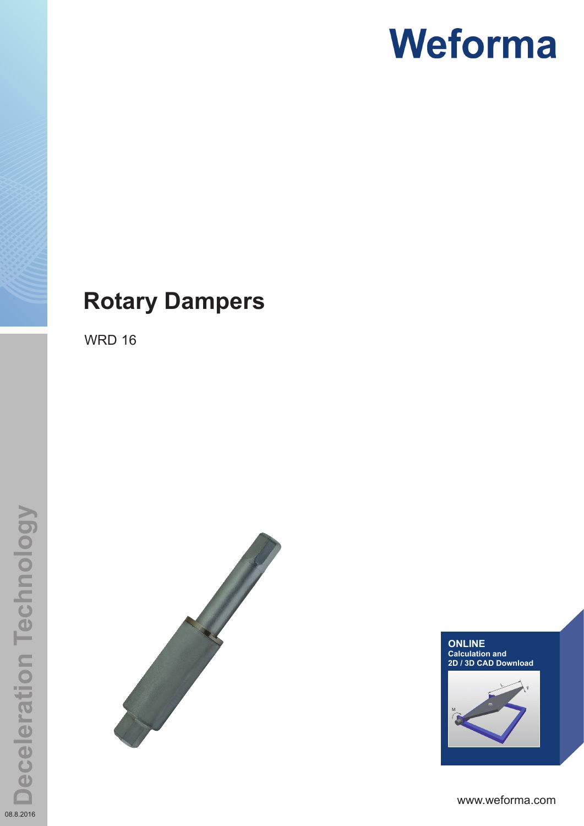### **Rotary Dampers**

WRD 16



M LF**ONLINE Calculation and 2D / 3D CAD Download**

www.weforma.com

08.8.2016

**Deceleration Technology**

**Deceleration Technology**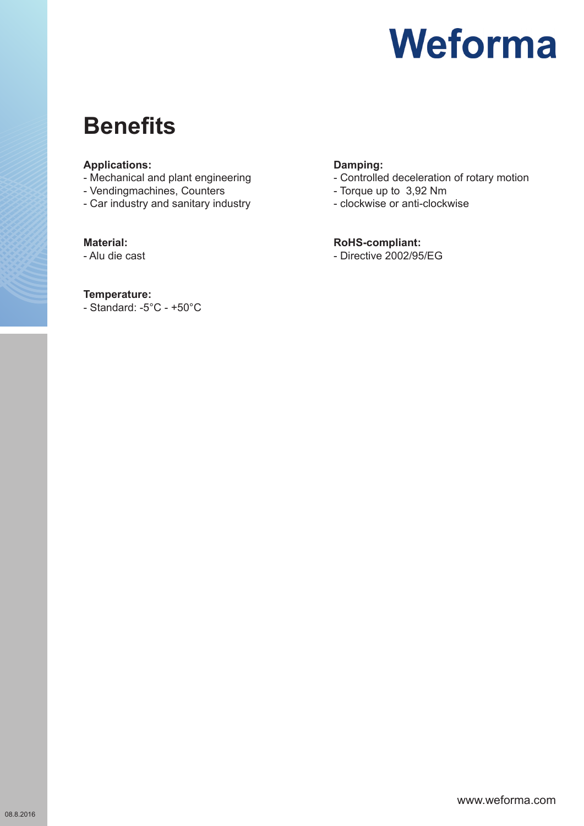### **Benefits**

#### **Applications:**

- Mechanical and plant engineering
- Vendingmachines, Counters
- Car industry and sanitary industry

#### **Material:**

- Alu die cast

#### **Temperature:**

- Standard: -5°C - +50°C

### **Damping:**

- Controlled deceleration of rotary motion
- Torque up to 3,92 Nm
- clockwise or anti-clockwise

#### **RoHS-compliant:**

- Directive 2002/95/EG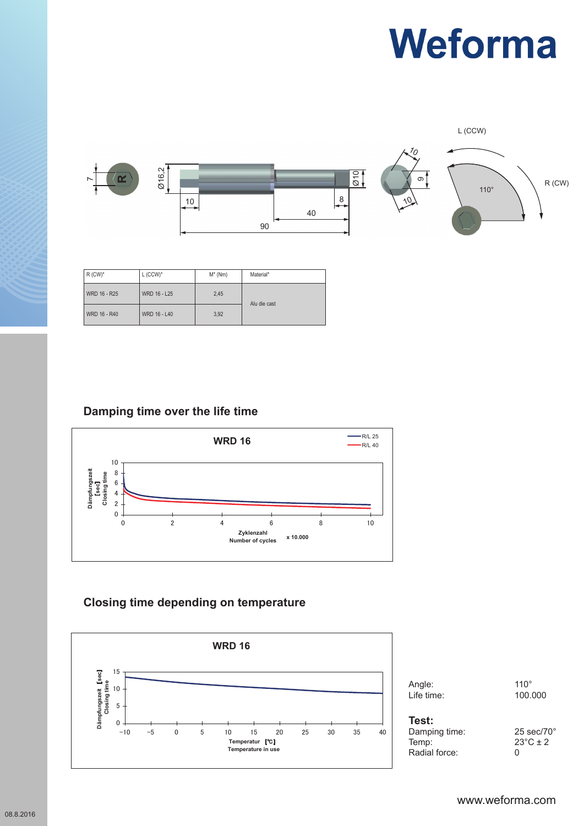L (CCW)



| $R$ (CW) <sup>*</sup> | $L$ (CCW) <sup>*</sup> | $M^*$ (Nm) | Material*    |
|-----------------------|------------------------|------------|--------------|
| WRD 16 - R25          | WRD 16 - L25           | 2,45       | Alu die cast |
| WRD 16 - R40          | WRD 16 - L40           | 3,92       |              |

### **Damping time over the life time**



### **WRD 16 Closing time depending on temperature**



Angle: 110° **Winkel / Angle: 110°** Life time: 100.000

| 25 sec/7           |
|--------------------|
| $23^{\circ}$ C ± 2 |
|                    |
|                    |

25 sec/70 $^{\circ}$